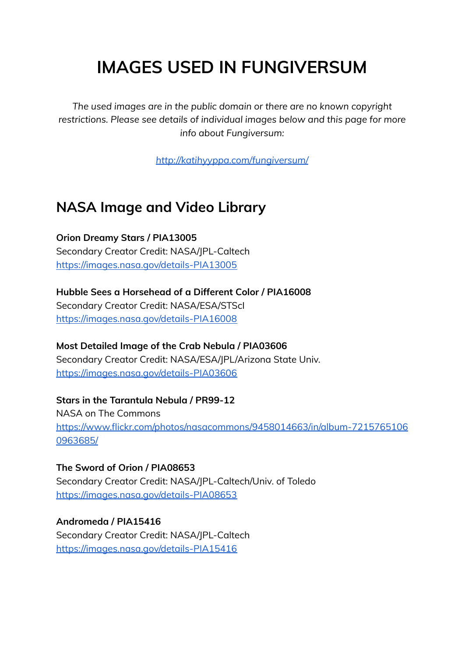# **IMAGES USED IN FUNGIVERSUM**

*The used images are in the public domain or there are no known copyright restrictions. Please see details of individual images below and this page for more info about Fungiversum:*

*<http://katihyyppa.com/fungiversum/>*

## **NASA Image and Video Library**

**Orion Dreamy Stars / PIA13005** Secondary Creator Credit: NASA/JPL-Caltech <https://images.nasa.gov/details-PIA13005>

**Hubble Sees a Horsehead of a Different Color / PIA16008** Secondary Creator Credit: NASA/ESA/STScI <https://images.nasa.gov/details-PIA16008>

**Most Detailed Image of the Crab Nebula / PIA03606** Secondary Creator Credit: NASA/ESA/JPL/Arizona State Univ. <https://images.nasa.gov/details-PIA03606>

**Stars in the Tarantula Nebula / PR99-12** NASA on The Commons [https://www.flickr.com/photos/nasacommons/9458014663/in/album-7215765106](https://www.flickr.com/photos/nasacommons/9458014663/in/album-72157651060963685/) [0963685/](https://www.flickr.com/photos/nasacommons/9458014663/in/album-72157651060963685/)

**The Sword of Orion / PIA08653** Secondary Creator Credit: NASA/JPL-Caltech/Univ. of Toledo <https://images.nasa.gov/details-PIA08653>

**Andromeda / PIA15416** Secondary Creator Credit: NASA/JPL-Caltech <https://images.nasa.gov/details-PIA15416>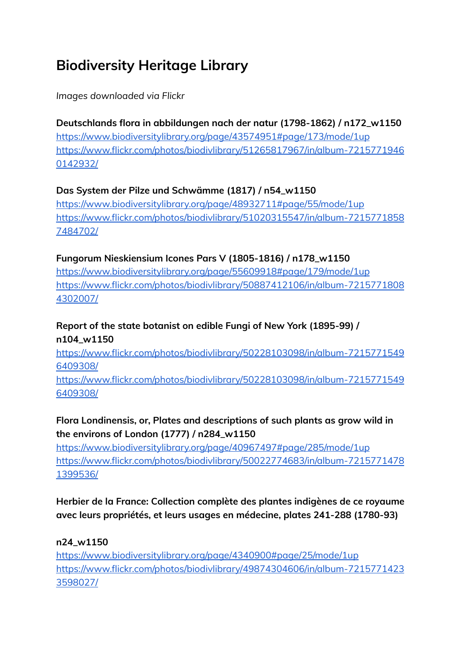## **Biodiversity Heritage Library**

## *Images downloaded via Flickr*

## **Deutschlands flora in abbildungen nach der natur (1798-1862) / n172\_w1150**

<https://www.biodiversitylibrary.org/page/43574951#page/173/mode/1up> [https://www.flickr.com/photos/biodivlibrary/51265817967/in/album-7215771946](https://www.flickr.com/photos/biodivlibrary/51265817967/in/album-72157719460142932/) [0142932/](https://www.flickr.com/photos/biodivlibrary/51265817967/in/album-72157719460142932/)

## **Das System der Pilze und Schwämme (1817) / n54\_w1150**

<https://www.biodiversitylibrary.org/page/48932711#page/55/mode/1up> [https://www.flickr.com/photos/biodivlibrary/51020315547/in/album-7215771858](https://www.flickr.com/photos/biodivlibrary/51020315547/in/album-72157718587484702/) [7484702/](https://www.flickr.com/photos/biodivlibrary/51020315547/in/album-72157718587484702/)

### **Fungorum Nieskiensium Icones Pars V (1805-1816) / n178\_w1150**

<https://www.biodiversitylibrary.org/page/55609918#page/179/mode/1up> [https://www.flickr.com/photos/biodivlibrary/50887412106/in/album-7215771808](https://www.flickr.com/photos/biodivlibrary/50887412106/in/album-72157718084302007/) [4302007/](https://www.flickr.com/photos/biodivlibrary/50887412106/in/album-72157718084302007/)

## **Report of the state botanist on edible Fungi of New York (1895-99) / n104\_w1150**

[https://www.flickr.com/photos/biodivlibrary/50228103098/in/album-7215771549](https://www.flickr.com/photos/biodivlibrary/50228103098/in/album-72157715496409308/) [6409308/](https://www.flickr.com/photos/biodivlibrary/50228103098/in/album-72157715496409308/)

[https://www.flickr.com/photos/biodivlibrary/50228103098/in/album-7215771549](https://www.flickr.com/photos/biodivlibrary/50228103098/in/album-72157715496409308/) [6409308/](https://www.flickr.com/photos/biodivlibrary/50228103098/in/album-72157715496409308/)

## **Flora Londinensis, or, Plates and descriptions of such plants as grow wild in the environs of London (1777) / n284\_w1150**

<https://www.biodiversitylibrary.org/page/40967497#page/285/mode/1up> [https://www.flickr.com/photos/biodivlibrary/50022774683/in/album-7215771478](https://www.flickr.com/photos/biodivlibrary/50022774683/in/album-72157714781399536/) [1399536/](https://www.flickr.com/photos/biodivlibrary/50022774683/in/album-72157714781399536/)

## **Herbier de la France: Collection complète des plantes indigènes de ce royaume avec leurs propriétés, et leurs usages en médecine, plates 241-288 (1780-93)**

#### **n24\_w1150**

<https://www.biodiversitylibrary.org/page/4340900#page/25/mode/1up> [https://www.flickr.com/photos/biodivlibrary/49874304606/in/album-7215771423](https://www.flickr.com/photos/biodivlibrary/49874304606/in/album-72157714233598027/) [3598027/](https://www.flickr.com/photos/biodivlibrary/49874304606/in/album-72157714233598027/)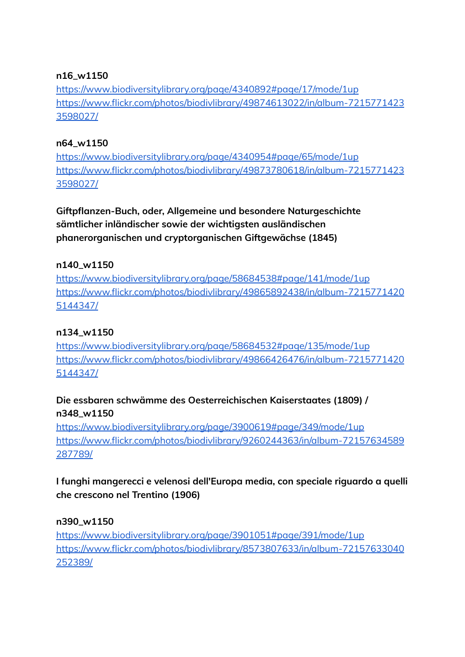#### **n16\_w1150**

<https://www.biodiversitylibrary.org/page/4340892#page/17/mode/1up> [https://www.flickr.com/photos/biodivlibrary/49874613022/in/album-7215771423](https://www.flickr.com/photos/biodivlibrary/49874613022/in/album-72157714233598027/) [3598027/](https://www.flickr.com/photos/biodivlibrary/49874613022/in/album-72157714233598027/)

#### **n64\_w1150**

<https://www.biodiversitylibrary.org/page/4340954#page/65/mode/1up> [https://www.flickr.com/photos/biodivlibrary/49873780618/in/album-7215771423](https://www.flickr.com/photos/biodivlibrary/49873780618/in/album-72157714233598027/) [3598027/](https://www.flickr.com/photos/biodivlibrary/49873780618/in/album-72157714233598027/)

**Giftpflanzen-Buch, oder, Allgemeine und besondere Naturgeschichte sämtlicher inländischer sowie der wichtigsten ausländischen phanerorganischen und cryptorganischen Giftgewächse (1845)**

#### **n140\_w1150**

<https://www.biodiversitylibrary.org/page/58684538#page/141/mode/1up> [https://www.flickr.com/photos/biodivlibrary/49865892438/in/album-7215771420](https://www.flickr.com/photos/biodivlibrary/49865892438/in/album-72157714205144347/) [5144347/](https://www.flickr.com/photos/biodivlibrary/49865892438/in/album-72157714205144347/)

#### **n134\_w1150**

<https://www.biodiversitylibrary.org/page/58684532#page/135/mode/1up> [https://www.flickr.com/photos/biodivlibrary/49866426476/in/album-7215771420](https://www.flickr.com/photos/biodivlibrary/49866426476/in/album-72157714205144347/) [5144347/](https://www.flickr.com/photos/biodivlibrary/49866426476/in/album-72157714205144347/)

## **Die essbaren schwämme des Oesterreichischen Kaiserstaates (1809) / n348\_w1150**

<https://www.biodiversitylibrary.org/page/3900619#page/349/mode/1up> [https://www.flickr.com/photos/biodivlibrary/9260244363/in/album-72157634589](https://www.flickr.com/photos/biodivlibrary/9260244363/in/album-72157634589287789/) [287789/](https://www.flickr.com/photos/biodivlibrary/9260244363/in/album-72157634589287789/)

**I funghi mangerecci e velenosi dell'Europa media, con speciale riguardo a quelli che crescono nel Trentino (1906)**

#### **n390\_w1150**

<https://www.biodiversitylibrary.org/page/3901051#page/391/mode/1up> [https://www.flickr.com/photos/biodivlibrary/8573807633/in/album-72157633040](https://www.flickr.com/photos/biodivlibrary/8573807633/in/album-72157633040252389/) [252389/](https://www.flickr.com/photos/biodivlibrary/8573807633/in/album-72157633040252389/)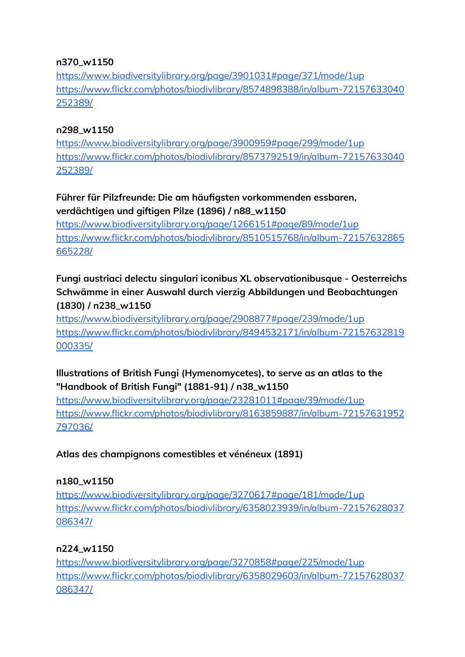#### **n370\_w1150**

<https://www.biodiversitylibrary.org/page/3901031#page/371/mode/1up> [https://www.flickr.com/photos/biodivlibrary/8574898388/in/album-72157633040](https://www.flickr.com/photos/biodivlibrary/8574898388/in/album-72157633040252389/) [252389/](https://www.flickr.com/photos/biodivlibrary/8574898388/in/album-72157633040252389/)

#### **n298\_w1150**

<https://www.biodiversitylibrary.org/page/3900959#page/299/mode/1up> [https://www.flickr.com/photos/biodivlibrary/8573792519/in/album-72157633040](https://www.flickr.com/photos/biodivlibrary/8573792519/in/album-72157633040252389/) [252389/](https://www.flickr.com/photos/biodivlibrary/8573792519/in/album-72157633040252389/)

## **Führer für Pilzfreunde: Die am häufigsten vorkommenden essbaren, verdächtigen und giftigen Pilze (1896) / n88\_w1150**

<https://www.biodiversitylibrary.org/page/1266151#page/89/mode/1up> [https://www.flickr.com/photos/biodivlibrary/8510515768/in/album-72157632865](https://www.flickr.com/photos/biodivlibrary/8510515768/in/album-72157632865665228/) [665228/](https://www.flickr.com/photos/biodivlibrary/8510515768/in/album-72157632865665228/)

## **Fungi austriaci delectu singulari iconibus XL observationibusque - Oesterreichs Schwämme in einer Auswahl durch vierzig Abbildungen und Beobachtungen (1830) / n238\_w1150**

<https://www.biodiversitylibrary.org/page/2908877#page/239/mode/1up> [https://www.flickr.com/photos/biodivlibrary/8494532171/in/album-72157632819](https://www.flickr.com/photos/biodivlibrary/8494532171/in/album-72157632819000335/) [000335/](https://www.flickr.com/photos/biodivlibrary/8494532171/in/album-72157632819000335/)

## **Illustrations of British Fungi (Hymenomycetes), to serve as an atlas to the "Handbook of British Fungi" (1881-91) / n38\_w1150**

<https://www.biodiversitylibrary.org/page/23281011#page/39/mode/1up> [https://www.flickr.com/photos/biodivlibrary/8163859887/in/album-72157631952](https://www.flickr.com/photos/biodivlibrary/8163859887/in/album-72157631952797036/) [797036/](https://www.flickr.com/photos/biodivlibrary/8163859887/in/album-72157631952797036/)

## **Atlas des champignons comestibles et vénéneux (1891)**

## **n180\_w1150**

<https://www.biodiversitylibrary.org/page/3270617#page/181/mode/1up> [https://www.flickr.com/photos/biodivlibrary/6358023939/in/album-72157628037](https://www.flickr.com/photos/biodivlibrary/6358023939/in/album-72157628037086347/) [086347/](https://www.flickr.com/photos/biodivlibrary/6358023939/in/album-72157628037086347/)

## **n224\_w1150**

<https://www.biodiversitylibrary.org/page/3270858#page/225/mode/1up> [https://www.flickr.com/photos/biodivlibrary/6358029603/in/album-72157628037](https://www.flickr.com/photos/biodivlibrary/6358029603/in/album-72157628037086347/) [086347/](https://www.flickr.com/photos/biodivlibrary/6358029603/in/album-72157628037086347/)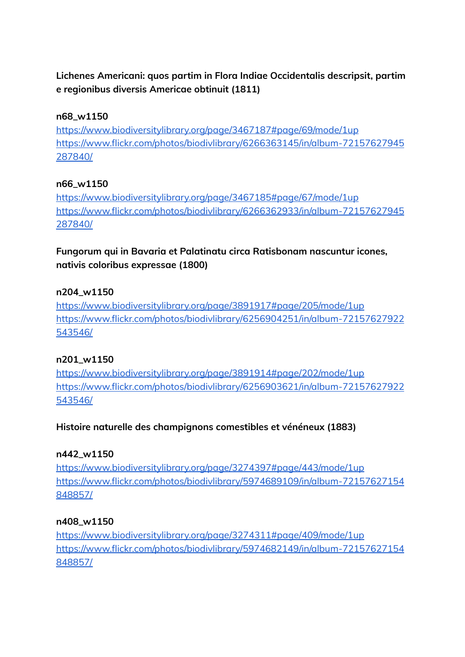## **Lichenes Americani: quos partim in Flora Indiae Occidentalis descripsit, partim e regionibus diversis Americae obtinuit (1811)**

#### **n68\_w1150**

<https://www.biodiversitylibrary.org/page/3467187#page/69/mode/1up> [https://www.flickr.com/photos/biodivlibrary/6266363145/in/album-72157627945](https://www.flickr.com/photos/biodivlibrary/6266363145/in/album-72157627945287840/) [287840/](https://www.flickr.com/photos/biodivlibrary/6266363145/in/album-72157627945287840/)

### **n66\_w1150**

<https://www.biodiversitylibrary.org/page/3467185#page/67/mode/1up> [https://www.flickr.com/photos/biodivlibrary/6266362933/in/album-72157627945](https://www.flickr.com/photos/biodivlibrary/6266362933/in/album-72157627945287840/) [287840/](https://www.flickr.com/photos/biodivlibrary/6266362933/in/album-72157627945287840/)

**Fungorum qui in Bavaria et Palatinatu circa Ratisbonam nascuntur icones, nativis coloribus expressae (1800)**

### **n204\_w1150**

<https://www.biodiversitylibrary.org/page/3891917#page/205/mode/1up> [https://www.flickr.com/photos/biodivlibrary/6256904251/in/album-72157627922](https://www.flickr.com/photos/biodivlibrary/6256904251/in/album-72157627922543546/) [543546/](https://www.flickr.com/photos/biodivlibrary/6256904251/in/album-72157627922543546/)

#### **n201\_w1150**

<https://www.biodiversitylibrary.org/page/3891914#page/202/mode/1up> [https://www.flickr.com/photos/biodivlibrary/6256903621/in/album-72157627922](https://www.flickr.com/photos/biodivlibrary/6256903621/in/album-72157627922543546/) [543546/](https://www.flickr.com/photos/biodivlibrary/6256903621/in/album-72157627922543546/)

## **Histoire naturelle des champignons comestibles et vénéneux (1883)**

#### **n442\_w1150**

<https://www.biodiversitylibrary.org/page/3274397#page/443/mode/1up> [https://www.flickr.com/photos/biodivlibrary/5974689109/in/album-72157627154](https://www.flickr.com/photos/biodivlibrary/5974689109/in/album-72157627154848857/) [848857/](https://www.flickr.com/photos/biodivlibrary/5974689109/in/album-72157627154848857/)

#### **n408\_w1150**

<https://www.biodiversitylibrary.org/page/3274311#page/409/mode/1up> [https://www.flickr.com/photos/biodivlibrary/5974682149/in/album-72157627154](https://www.flickr.com/photos/biodivlibrary/5974682149/in/album-72157627154848857/) [848857/](https://www.flickr.com/photos/biodivlibrary/5974682149/in/album-72157627154848857/)